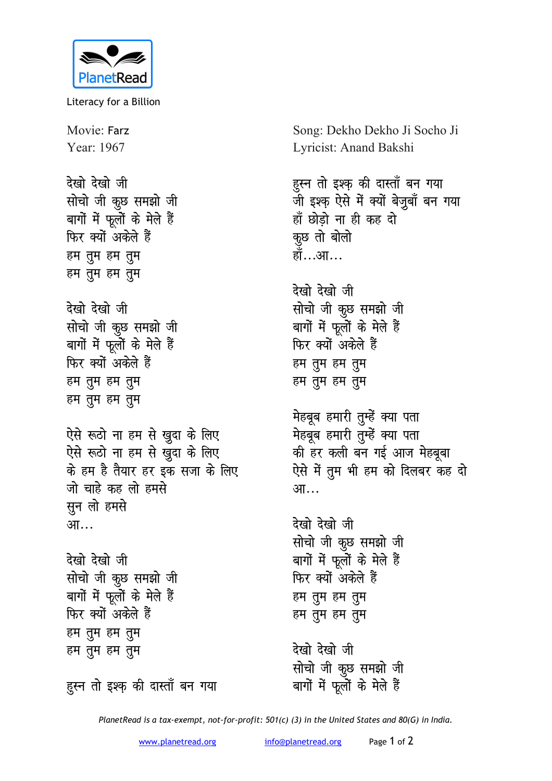

Literacy for a Billion

Movie: Farz Year: 1967

<u>देखो देखो जी</u> **सोचो** जी कुछ समझो जी बागों में फूलों के मेले हैं **फिर क्यों अकेले हैं** हम तुम हम तुम हम तुम हम तुम <u>देखो देखो जी</u> **सोचो जी कूछ समझो जी** 

बागों में फूलों के मेले हैं **फिर क्यों अकेले हैं** हम तुम हम तुम हम तुम हम तुम

ऐसे रूठो ना हम से खुदा के लिए ऐसे रूठो ना हम से ख़ुदा के लिए <u>के हम है तैयार हर इक सजा के लिए</u> जो चाहे कह लो हमसे **HH** लो हमसे आ…

<u>देखो देखो जी</u> **सोचो जी कूछ समझो जी** बागों में फूलों के मेले हैं फिर क्यों अकेले हैं हम तुम हम तुम हम तुम हम तुम

हुस्न तो इश्क़ की दास्ताँ बन गया

Song: Dekho Dekho Ji Socho Ji Lyricist: Anand Bakshi

## हुस्न तो इश्क़ की दास्ताँ बन गया

<u>जी इश्क</u>़ ऐसे में क्यों बेज़ुबाँ बन गया हाँ छोडो ना ही कह दो कूछ तो बोलो हॉ…आ…

<u>देखो देखो जी</u> **सोचो जी कुछ समझो जी** बागों में फूलों के मेले हैं **फिर क्यों अकेले हैं** हम तुम हम तुम हम तुम हम तुम

**मेहबूब हमारी तुम्हें क्या पता मेहबूब हमारी तुम्हें क्या पता** *की हर कली बन गई आज मेहबूबा* ऐसे में तूम भी हम को दिलबर कह द<del>ो</del> आ…

<u>देखो देखो जी</u> **सोचो** जी कूछ समझो जी बागों में फूलों के मेले हैं फिर क्यों अकेले हैं हम तुम हम तुम हम तूम हम तुम

देखो देखो जी **सोचो** जी कूछ समझो जी बागों में फूलों के मेले हैं

*PlanetRead is a tax-exempt, not-for-profit: 501(c) (3) in the United States and 80(G) in India.*